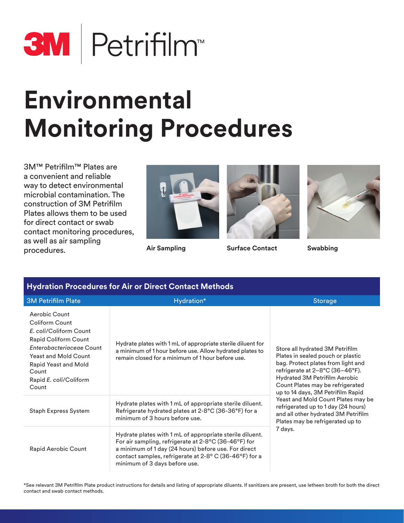

# **Environmental Monitoring Procedures**

3M™ Petrifilm™ Plates are a convenient and reliable way to detect environmental microbial contamination. The construction of 3M Petrifilm Plates allows them to be used for direct contact or swab contact monitoring procedures, as well as air sampling procedures.





**Air Sampling Surface Contact Swabbing**



| <b>Hydration Procedures for Air or Direct Contact Methods</b>                                                                                                                                                    |                                                                                                                                                                                                                                                                     |                                                                                                                                                                                                                                                                                                                                                                                                                            |
|------------------------------------------------------------------------------------------------------------------------------------------------------------------------------------------------------------------|---------------------------------------------------------------------------------------------------------------------------------------------------------------------------------------------------------------------------------------------------------------------|----------------------------------------------------------------------------------------------------------------------------------------------------------------------------------------------------------------------------------------------------------------------------------------------------------------------------------------------------------------------------------------------------------------------------|
| <b>3M Petrifilm Plate</b>                                                                                                                                                                                        | Hydration*                                                                                                                                                                                                                                                          | <b>Storage</b>                                                                                                                                                                                                                                                                                                                                                                                                             |
| Aerobic Count<br>Coliform Count<br>E. coli/Coliform Count<br>Rapid Coliform Count<br>Enterobacteriaceae Count<br><b>Yeast and Mold Count</b><br>Rapid Yeast and Mold<br>Count<br>Rapid E. coli/Coliform<br>Count | Hydrate plates with 1 mL of appropriate sterile diluent for<br>a minimum of 1 hour before use. Allow hydrated plates to<br>remain closed for a minimum of 1 hour before use.                                                                                        | Store all hydrated 3M Petrifilm<br>Plates in sealed pouch or plastic<br>bag. Protect plates from light and<br>refrigerate at 2-8°C (36-46°F).<br>Hydrated 3M Petrifilm Aerobic<br>Count Plates may be refrigerated<br>up to 14 days, 3M Petrifilm Rapid<br>Yeast and Mold Count Plates may be<br>refrigerated up to 1 day (24 hours)<br>and all other hydrated 3M Petrifilm<br>Plates may be refrigerated up to<br>7 days. |
| <b>Staph Express System</b>                                                                                                                                                                                      | Hydrate plates with 1 mL of appropriate sterile diluent.<br>Refrigerate hydrated plates at 2-8°C (36-36°F) for a<br>minimum of 3 hours before use.                                                                                                                  |                                                                                                                                                                                                                                                                                                                                                                                                                            |
| Rapid Aerobic Count                                                                                                                                                                                              | Hydrate plates with 1 mL of appropriate sterile diluent.<br>For air sampling, refrigerate at 2-8°C (36-46°F) for<br>a minimum of 1 day (24 hours) before use. For direct<br>contact samples, refrigerate at 2-8° C (36-46°F) for a<br>minimum of 3 days before use. |                                                                                                                                                                                                                                                                                                                                                                                                                            |

\*See relevant 3M Petrifilm Plate product instructions for details and listing of appropriate diluents. If sanitizers are present, use letheen broth for both the direct contact and swab contact methods.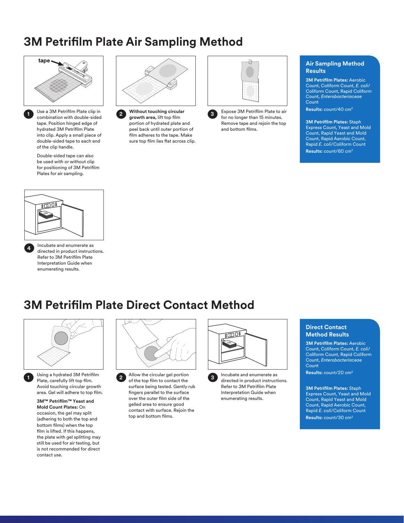### **3M Petrifilm Plate Air Sampling Method**



**1**

Use a 3M Petrifilm Plate clip in combination with double-sided tape. Position hinged edge of hydrated 3M Petrifilm Plate into clip. Apply a small piece of double-sided tape to each end of the clip handle.

Double-sided tape can also be used with or without clip for positioning of 3M Petrifilm Plates for air sampling.



**Without touching circular growth area,** lift top film **2 3** portion of hydrated plate and peel back until outer portion of film adheres to the tape. Make sure top film lies flat across clip.



Expose 3M Petrifilm Plate to air for no longer than 15 minutes. Remove tape and rejoin the top and bottom films.

#### **Air Sampling Method Results**

**3M Petrifilm Plates:** Aerobic Count, Coliform Count, *E. coli*/ Coliform Count, Rapid Coliform Count, *Enterobacteriaceae* **Count** 

**Results:** count/40 cm2

**3M Petrifilm Plates:** Staph Express Count, Yeast and Mold Count, Rapid Yeast and Mold Count, Rapid Aerobic Count, Rapid *E. coli*/Coliform Count

**Results:** count/60 cm2



Incubate and enumerate as directed in product instructions. Refer to 3M Petrifilm Plate Interpretation Guide when enumerating results. **4**

### **3M Petrifilm Plate Direct Contact Method**



**1**

Using a hydrated 3M Petrifilm Plate, carefully lift top film. Avoid touching circular growth area. Gel will adhere to top film.

**3M™ Petrifilm™ Yeast and Mold Count Plates:** On occasion, the gel may split (adhering to both the top and bottom films) when the top film is lifted. If this happens, the plate with gel splitting may still be used for air testing, but is not recommended for direct contact use.



Allow the circular gel portion of the top film to contact the surface being tested. Gently rub fingers parallel to the surface over the outer film side of the gelled area to ensure good contact with surface. Rejoin the top and bottom films. **2**



Incubate and enumerate as directed in product instructions. Refer to 3M Petrifilm Plate Interpretation Guide when enumerating results. **3**

#### **Direct Contact Method Results**

**3M Petrifilm Plates:** Aerobic Count, Coliform Count, *E. coli*/ Coliform Count, Rapid Coliform Count, *Enterobacteriaceae* **Count** 

**Results:** count/20 cm2

**3M Petrifilm Plates:** Staph Express Count, Yeast and Mold Count, Rapid Yeast and Mold Count, Rapid Aerobic Count, Rapid *E. coli*/Coliform Count **Results:** count/30 cm2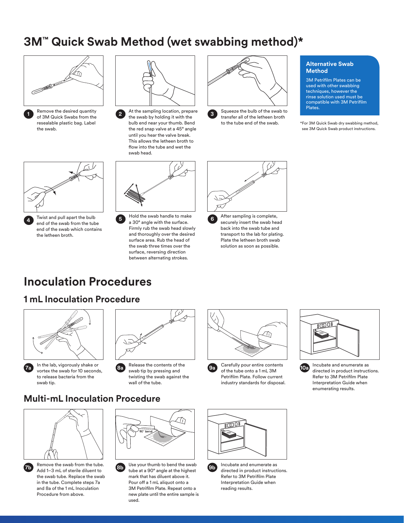### **3M™ Quick Swab Method (wet swabbing method)\***





**4**

Remove the desired quantity of 3M Quick Swabs from the resealable plastic bag. Label the swab.



At the sampling location, prepare the swab by holding it with the bulb end near your thumb. Bend the red snap valve at a 45° angle until you hear the valve break. This allows the letheen broth to flow into the tube and wet the swab head. **2**



Squeeze the bulb of the swab to transfer all of the letheen broth to the tube end of the swab. **3**

#### **Alternative Swab Method**

3M Petrifilm Plates can be used with other swabbing techniques, however the rinse solution used must be compatible with 3M Petrifilm Plates.

\*For 3M Quick Swab dry swabbing method, see 3M Quick Swab product instructions.



Twist and pull apart the bulb end of the swab from the tube end of the swab which contains the letheen broth.



Hold the swab handle to make a 30° angle with the surface. Firmly rub the swab head slowly and thoroughly over the desired surface area. Rub the head of the swab three times over the surface, reversing direction between alternating strokes. **5**



After sampling is complete, securely insert the swab head back into the swab tube and transport to the lab for plating. Plate the letheen broth swab solution as soon as possible. **6**

## **Inoculation Procedures**

### **1 mL Inoculation Procedure**







Release the contents of the swab tip by pressing and twisting the swab against the wall of the tube. **8a**







Incubate and enumerate as directed in product instructions. Refer to 3M Petrifilm Plate Interpretation Guide when enumerating results. **10a**

### **Multi-mL Inoculation Procedure**





Remove the swab from the tube. Add 1–3 mL of sterile diluent to the swab tube. Replace the swab in the tube. Complete steps 7a and 8a of the 1 mL Inoculation Procedure from above.



Use your thumb to bend the swab **7b** Add 1–3 mL of sterile diluent to **8b** tube at a 90° angle at the highest **9b 9b** mark that has diluent above it. Pour off a 1 mL aliquot onto a 3M Petrifilm Plate. Repeat onto a new plate until the entire sample is used.





Incubate and enumerate as directed in product instructions. Refer to 3M Petrifilm Plate Interpretation Guide when reading results.